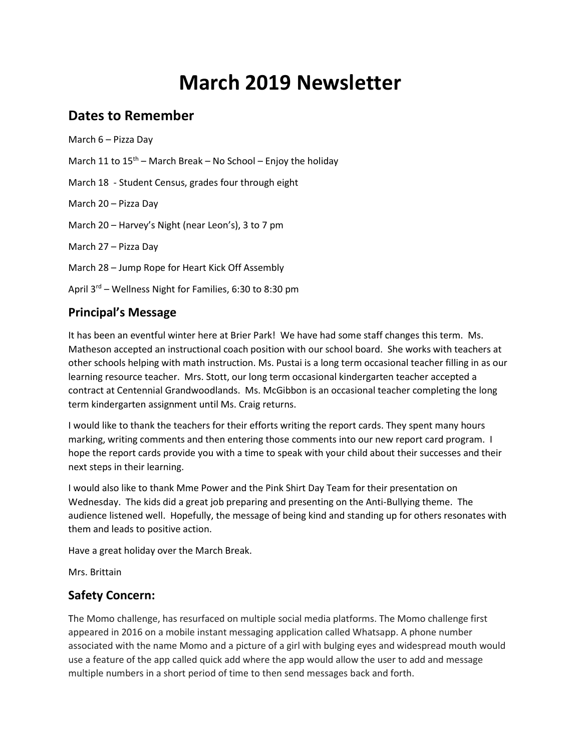# **March 2019 Newsletter**

# **Dates to Remember**

March 6 – Pizza Day

March 11 to  $15^{th}$  – March Break – No School – Enjoy the holiday

March 18 - Student Census, grades four through eight

March 20 – Pizza Day

March 20 – Harvey's Night (near Leon's), 3 to 7 pm

March 27 – Pizza Day

March 28 – Jump Rope for Heart Kick Off Assembly

April  $3^{rd}$  – Wellness Night for Families, 6:30 to 8:30 pm

#### **Principal's Message**

It has been an eventful winter here at Brier Park! We have had some staff changes this term. Ms. Matheson accepted an instructional coach position with our school board. She works with teachers at other schools helping with math instruction. Ms. Pustai is a long term occasional teacher filling in as our learning resource teacher. Mrs. Stott, our long term occasional kindergarten teacher accepted a contract at Centennial Grandwoodlands. Ms. McGibbon is an occasional teacher completing the long term kindergarten assignment until Ms. Craig returns.

I would like to thank the teachers for their efforts writing the report cards. They spent many hours marking, writing comments and then entering those comments into our new report card program. I hope the report cards provide you with a time to speak with your child about their successes and their next steps in their learning.

I would also like to thank Mme Power and the Pink Shirt Day Team for their presentation on Wednesday. The kids did a great job preparing and presenting on the Anti-Bullying theme. The audience listened well. Hopefully, the message of being kind and standing up for others resonates with them and leads to positive action.

Have a great holiday over the March Break.

Mrs. Brittain

## **Safety Concern:**

The Momo challenge, has resurfaced on multiple social media platforms. The Momo challenge first appeared in 2016 on a mobile instant messaging application called Whatsapp. A phone number associated with the name Momo and a picture of a girl with bulging eyes and widespread mouth would use a feature of the app called quick add where the app would allow the user to add and message multiple numbers in a short period of time to then send messages back and forth.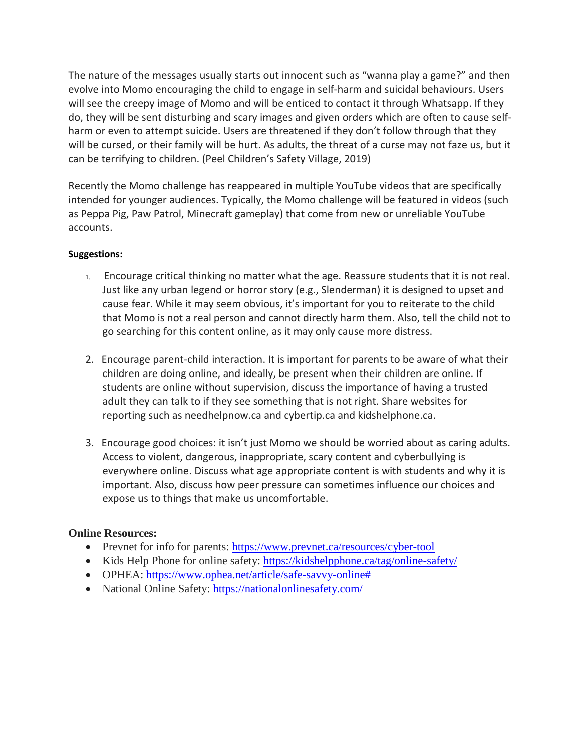The nature of the messages usually starts out innocent such as "wanna play a game?" and then evolve into Momo encouraging the child to engage in self-harm and suicidal behaviours. Users will see the creepy image of Momo and will be enticed to contact it through Whatsapp. If they do, they will be sent disturbing and scary images and given orders which are often to cause selfharm or even to attempt suicide. Users are threatened if they don't follow through that they will be cursed, or their family will be hurt. As adults, the threat of a curse may not faze us, but it can be terrifying to children. (Peel Children's Safety Village, 2019)

Recently the Momo challenge has reappeared in multiple YouTube videos that are specifically intended for younger audiences. Typically, the Momo challenge will be featured in videos (such as Peppa Pig, Paw Patrol, Minecraft gameplay) that come from new or unreliable YouTube accounts.

#### **Suggestions:**

- 1. Encourage critical thinking no matter what the age. Reassure students that it is not real. Just like any urban legend or horror story (e.g., Slenderman) it is designed to upset and cause fear. While it may seem obvious, it's important for you to reiterate to the child that Momo is not a real person and cannot directly harm them. Also, tell the child not to go searching for this content online, as it may only cause more distress.
- 2. Encourage parent-child interaction. It is important for parents to be aware of what their children are doing online, and ideally, be present when their children are online. If students are online without supervision, discuss the importance of having a trusted adult they can talk to if they see something that is not right. Share websites for reporting such as needhelpnow.ca and cybertip.ca and kidshelphone.ca.
- 3. Encourage good choices: it isn't just Momo we should be worried about as caring adults. Access to violent, dangerous, inappropriate, scary content and cyberbullying is everywhere online. Discuss what age appropriate content is with students and why it is important. Also, discuss how peer pressure can sometimes influence our choices and expose us to things that make us uncomfortable.

#### **Online Resources:**

- Prevnet for info for parents: <https://www.prevnet.ca/resources/cyber-tool>
- Kids Help Phone for online safety: <https://kidshelpphone.ca/tag/online-safety/>
- OPHEA: [https://www.ophea.net/article/safe-savvy-online#](https://www.ophea.net/article/safe-savvy-online#.XHgq9PZFxlU)
- National Online Safety: <https://nationalonlinesafety.com/>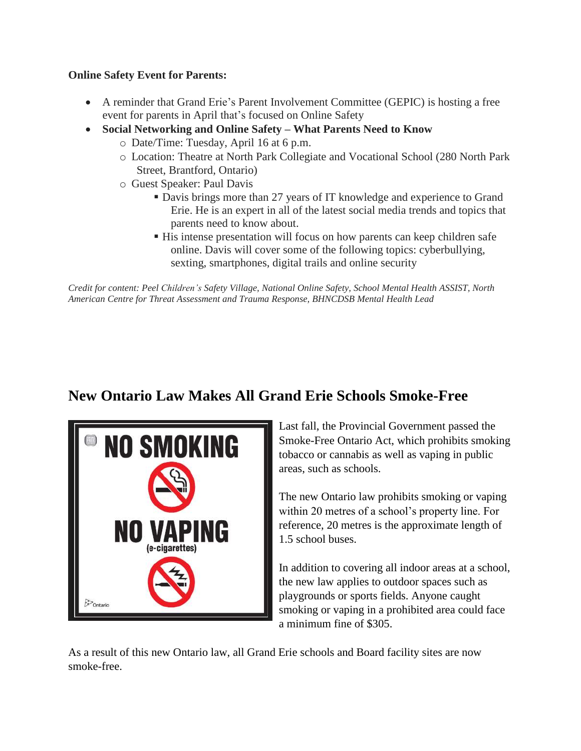#### **Online Safety Event for Parents:**

- A reminder that Grand Erie's Parent Involvement Committee (GEPIC) is hosting a free event for parents in April that's focused on Online Safety
- **Social Networking and Online Safety – What Parents Need to Know**
	- o Date/Time: Tuesday, April 16 at 6 p.m.
	- o Location: Theatre at North Park Collegiate and Vocational School (280 North Park Street, Brantford, Ontario)
	- o Guest Speaker: Paul Davis
		- Davis brings more than 27 years of IT knowledge and experience to Grand Erie. He is an expert in all of the latest social media trends and topics that parents need to know about.
		- His intense presentation will focus on how parents can keep children safe online. Davis will cover some of the following topics: cyberbullying, sexting, smartphones, digital trails and online security

*Credit for content: Peel Children's Safety Village, National Online Safety, School Mental Health ASSIST, North American Centre for Threat Assessment and Trauma Response, BHNCDSB Mental Health Lead*

# **New Ontario Law Makes All Grand Erie Schools Smoke-Free**



Last fall, the Provincial Government passed the Smoke-Free Ontario Act, which prohibits smoking tobacco or cannabis as well as vaping in public areas, such as schools.

The new Ontario law prohibits smoking or vaping within 20 metres of a school's property line. For reference, 20 metres is the approximate length of 1.5 school buses.

In addition to covering all indoor areas at a school, the new law applies to outdoor spaces such as playgrounds or sports fields. Anyone caught smoking or vaping in a prohibited area could face a minimum fine of \$305.

As a result of this new Ontario law, all Grand Erie schools and Board facility sites are now smoke-free.